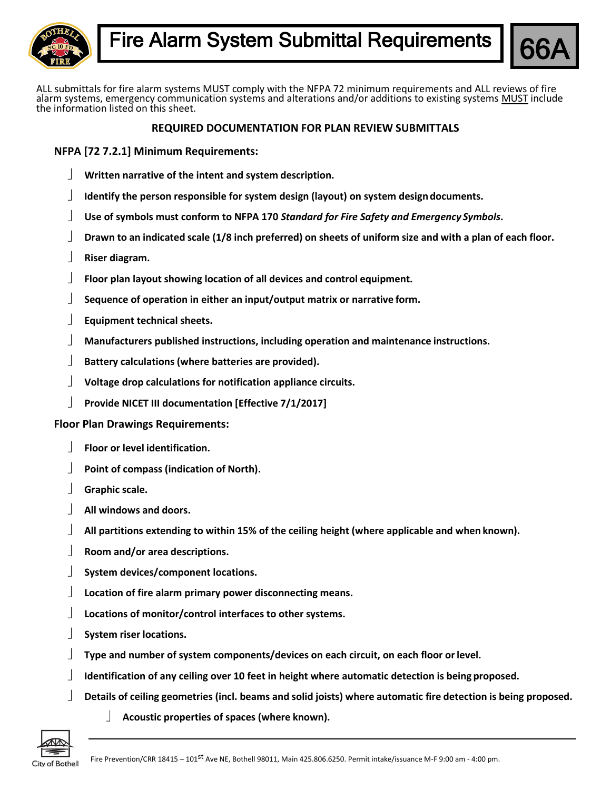



ALL submittals for fire alarm systems MUST comply with the NFPA 72 minimum requirements and ALL reviews of fire alarm systems, emergency communication systems and alterations and/or additions to existing systems MUST include the information listed on this sheet.

## **REQUIRED DOCUMENTATION FOR PLAN REVIEW SUBMITTALS**

**NFPA [72 7.2.1] Minimum Requirements:**

- **Written narrative of the intent and system description.**
- **Identify the person responsible for system design (layout) on system designdocuments.**
- **Use of symbols must conform to NFPA 170** *Standard for Fire Safety and Emergency Symbols***.**
- Drawn to an indicated scale (1/8 inch preferred) on sheets of uniform size and with a plan of each floor.
- **Riser diagram.**
- **Floor plan layout showing location of all devices and control equipment.**
- **Sequence of operation in either an input/output matrix or narrative form.**
- **Equipment technical sheets.**
- **Manufacturers published instructions, including operation and maintenance instructions.**
- **Battery calculations (where batteries are provided).**
- **Voltage drop calculations for notification appliance circuits.**
- **Provide NICET III documentation [Effective 7/1/2017]**

## **Floor Plan Drawings Requirements:**

- **Floor or level identification.**
- **Point of compass (indication of North).**
- **Graphic scale.**
- **All windows and doors.**
- **All partitions extending to within 15% of the ceiling height (where applicable and when known).**
- **Room and/or area descriptions.**
- **System devices/component locations.**
- **Location of fire alarm primary power disconnecting means.**
- **Locations of monitor/control interfaces to other systems.**
- **System riser locations.**
- **Type and number of system components/devices on each circuit, on each floor orlevel.**
- **Identification of any ceiling over 10 feet in height where automatic detection is being proposed.**
- **Details of ceiling geometries (incl. beams and solid joists) where automatic fire detection is being proposed.**
	- **Acoustic properties of spaces (where known).**